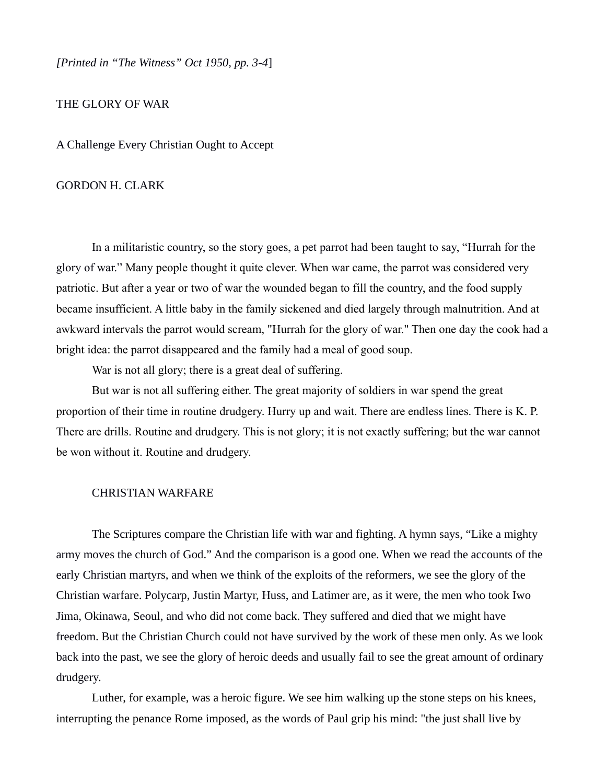*[Printed in "The Witness" Oct 1950, pp. 3-4*]

THE GLORY OF WAR

A Challenge Every Christian Ought to Accept

## GORDON H. CLARK

In a militaristic country, so the story goes, a pet parrot had been taught to say, "Hurrah for the glory of war." Many people thought it quite clever. When war came, the parrot was considered very patriotic. But after a year or two of war the wounded began to fill the country, and the food supply became insufficient. A little baby in the family sickened and died largely through malnutrition. And at awkward intervals the parrot would scream, "Hurrah for the glory of war." Then one day the cook had a bright idea: the parrot disappeared and the family had a meal of good soup.

War is not all glory; there is a great deal of suffering.

But war is not all suffering either. The great majority of soldiers in war spend the great proportion of their time in routine drudgery. Hurry up and wait. There are endless lines. There is K. P. There are drills. Routine and drudgery. This is not glory; it is not exactly suffering; but the war cannot be won without it. Routine and drudgery.

## CHRISTIAN WARFARE

The Scriptures compare the Christian life with war and fighting. A hymn says, "Like a mighty army moves the church of God." And the comparison is a good one. When we read the accounts of the early Christian martyrs, and when we think of the exploits of the reformers, we see the glory of the Christian warfare. Polycarp, Justin Martyr, Huss, and Latimer are, as it were, the men who took Iwo Jima, Okinawa, Seoul, and who did not come back. They suffered and died that we might have freedom. But the Christian Church could not have survived by the work of these men only. As we look back into the past, we see the glory of heroic deeds and usually fail to see the great amount of ordinary drudgery.

Luther, for example, was a heroic figure. We see him walking up the stone steps on his knees, interrupting the penance Rome imposed, as the words of Paul grip his mind: "the just shall live by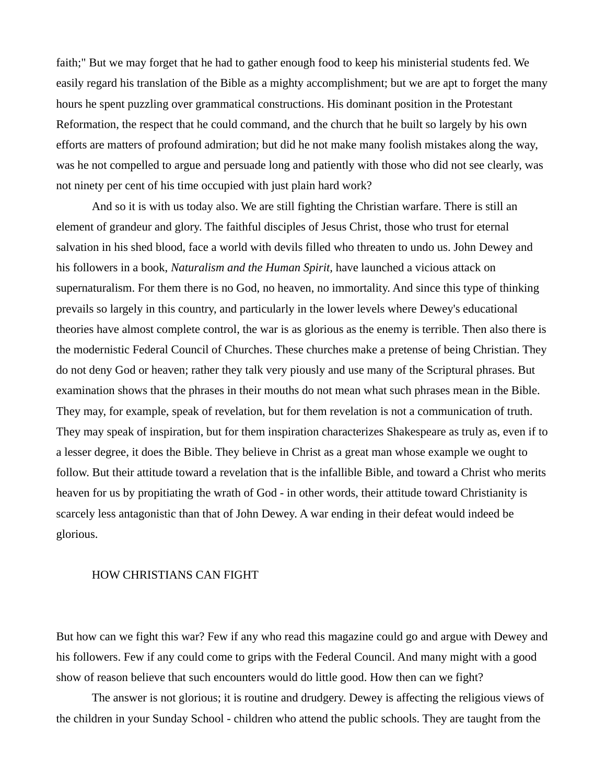faith;" But we may forget that he had to gather enough food to keep his ministerial students fed. We easily regard his translation of the Bible as a mighty accomplishment; but we are apt to forget the many hours he spent puzzling over grammatical constructions. His dominant position in the Protestant Reformation, the respect that he could command, and the church that he built so largely by his own efforts are matters of profound admiration; but did he not make many foolish mistakes along the way, was he not compelled to argue and persuade long and patiently with those who did not see clearly, was not ninety per cent of his time occupied with just plain hard work?

And so it is with us today also. We are still fighting the Christian warfare. There is still an element of grandeur and glory. The faithful disciples of Jesus Christ, those who trust for eternal salvation in his shed blood, face a world with devils filled who threaten to undo us. John Dewey and his followers in a book, *Naturalism and the Human Spirit,* have launched a vicious attack on supernaturalism. For them there is no God, no heaven, no immortality. And since this type of thinking prevails so largely in this country, and particularly in the lower levels where Dewey's educational theories have almost complete control, the war is as glorious as the enemy is terrible. Then also there is the modernistic Federal Council of Churches. These churches make a pretense of being Christian. They do not deny God or heaven; rather they talk very piously and use many of the Scriptural phrases. But examination shows that the phrases in their mouths do not mean what such phrases mean in the Bible. They may, for example, speak of revelation, but for them revelation is not a communication of truth. They may speak of inspiration, but for them inspiration characterizes Shakespeare as truly as, even if to a lesser degree, it does the Bible. They believe in Christ as a great man whose example we ought to follow. But their attitude toward a revelation that is the infallible Bible, and toward a Christ who merits heaven for us by propitiating the wrath of God - in other words, their attitude toward Christianity is scarcely less antagonistic than that of John Dewey. A war ending in their defeat would indeed be glorious.

## HOW CHRISTIANS CAN FIGHT

But how can we fight this war? Few if any who read this magazine could go and argue with Dewey and his followers. Few if any could come to grips with the Federal Council. And many might with a good show of reason believe that such encounters would do little good. How then can we fight?

The answer is not glorious; it is routine and drudgery. Dewey is affecting the religious views of the children in your Sunday School - children who attend the public schools. They are taught from the